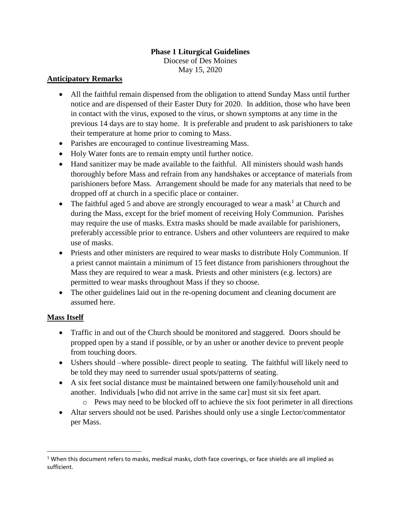## **Phase 1 Liturgical Guidelines**

Diocese of Des Moines May 15, 2020

#### **Anticipatory Remarks**

- All the faithful remain dispensed from the obligation to attend Sunday Mass until further notice and are dispensed of their Easter Duty for 2020. In addition, those who have been in contact with the virus, exposed to the virus, or shown symptoms at any time in the previous 14 days are to stay home. It is preferable and prudent to ask parishioners to take their temperature at home prior to coming to Mass.
- Parishes are encouraged to continue livestreaming Mass.
- Holy Water fonts are to remain empty until further notice.
- Hand sanitizer may be made available to the faithful. All ministers should wash hands thoroughly before Mass and refrain from any handshakes or acceptance of materials from parishioners before Mass. Arrangement should be made for any materials that need to be dropped off at church in a specific place or container.
- The faithful aged 5 and above are strongly encouraged to wear a mask<sup>1</sup> at Church and during the Mass, except for the brief moment of receiving Holy Communion. Parishes may require the use of masks. Extra masks should be made available for parishioners, preferably accessible prior to entrance. Ushers and other volunteers are required to make use of masks.
- Priests and other ministers are required to wear masks to distribute Holy Communion. If a priest cannot maintain a minimum of 15 feet distance from parishioners throughout the Mass they are required to wear a mask. Priests and other ministers (e.g. lectors) are permitted to wear masks throughout Mass if they so choose.
- The other guidelines laid out in the re-opening document and cleaning document are assumed here.

### **Mass Itself**

 $\overline{\phantom{a}}$ 

- Traffic in and out of the Church should be monitored and staggered. Doors should be propped open by a stand if possible, or by an usher or another device to prevent people from touching doors.
- Ushers should –where possible- direct people to seating. The faithful will likely need to be told they may need to surrender usual spots/patterns of seating.
- A six feet social distance must be maintained between one family/household unit and another. Individuals [who did not arrive in the same car] must sit six feet apart.
	- o Pews may need to be blocked off to achieve the six foot perimeter in all directions
- Altar servers should not be used. Parishes should only use a single Lector/commentator per Mass.

 $1$  When this document refers to masks, medical masks, cloth face coverings, or face shields are all implied as sufficient.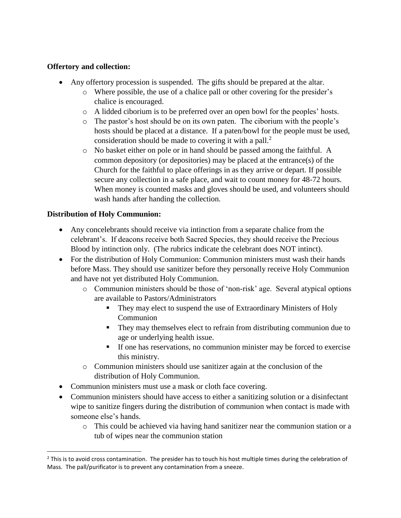## **Offertory and collection:**

- Any offertory procession is suspended. The gifts should be prepared at the altar.
	- o Where possible, the use of a chalice pall or other covering for the presider's chalice is encouraged.
	- o A lidded ciborium is to be preferred over an open bowl for the peoples' hosts.
	- o The pastor's host should be on its own paten. The ciborium with the people's hosts should be placed at a distance. If a paten/bowl for the people must be used, consideration should be made to covering it with a pall.<sup>2</sup>
	- o No basket either on pole or in hand should be passed among the faithful. A common depository (or depositories) may be placed at the entrance(s) of the Church for the faithful to place offerings in as they arrive or depart. If possible secure any collection in a safe place, and wait to count money for 48-72 hours. When money is counted masks and gloves should be used, and volunteers should wash hands after handing the collection.

# **Distribution of Holy Communion:**

 $\overline{\phantom{a}}$ 

- Any concelebrants should receive via intinction from a separate chalice from the celebrant's. If deacons receive both Sacred Species, they should receive the Precious Blood by intinction only. (The rubrics indicate the celebrant does NOT intinct).
- For the distribution of Holy Communion: Communion ministers must wash their hands before Mass. They should use sanitizer before they personally receive Holy Communion and have not yet distributed Holy Communion.
	- o Communion ministers should be those of 'non-risk' age. Several atypical options are available to Pastors/Administrators
		- They may elect to suspend the use of Extraordinary Ministers of Holy Communion
		- They may themselves elect to refrain from distributing communion due to age or underlying health issue.
		- If one has reservations, no communion minister may be forced to exercise this ministry.
	- o Communion ministers should use sanitizer again at the conclusion of the distribution of Holy Communion.
- Communion ministers must use a mask or cloth face covering.
- Communion ministers should have access to either a sanitizing solution or a disinfectant wipe to sanitize fingers during the distribution of communion when contact is made with someone else's hands.
	- o This could be achieved via having hand sanitizer near the communion station or a tub of wipes near the communion station

 $<sup>2</sup>$  This is to avoid cross contamination. The presider has to touch his host multiple times during the celebration of</sup> Mass. The pall/purificator is to prevent any contamination from a sneeze.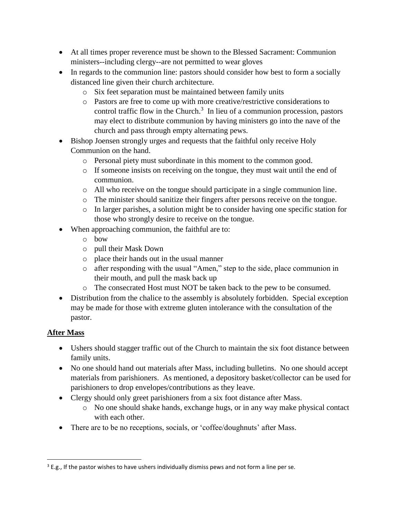- At all times proper reverence must be shown to the Blessed Sacrament: Communion ministers--including clergy--are not permitted to wear gloves
- In regards to the communion line: pastors should consider how best to form a socially distanced line given their church architecture.
	- o Six feet separation must be maintained between family units
	- o Pastors are free to come up with more creative/restrictive considerations to control traffic flow in the Church. 3 In lieu of a communion procession, pastors may elect to distribute communion by having ministers go into the nave of the church and pass through empty alternating pews.
- Bishop Joensen strongly urges and requests that the faithful only receive Holy Communion on the hand.
	- o Personal piety must subordinate in this moment to the common good.
	- o If someone insists on receiving on the tongue, they must wait until the end of communion.
	- o All who receive on the tongue should participate in a single communion line.
	- o The minister should sanitize their fingers after persons receive on the tongue.
	- o In larger parishes, a solution might be to consider having one specific station for those who strongly desire to receive on the tongue.
- When approaching communion, the faithful are to:
	- o bow
	- o pull their Mask Down
	- o place their hands out in the usual manner
	- o after responding with the usual "Amen," step to the side, place communion in their mouth, and pull the mask back up
	- o The consecrated Host must NOT be taken back to the pew to be consumed.
- Distribution from the chalice to the assembly is absolutely forbidden. Special exception may be made for those with extreme gluten intolerance with the consultation of the pastor.

# **After Mass**

 $\overline{\phantom{a}}$ 

- Ushers should stagger traffic out of the Church to maintain the six foot distance between family units.
- No one should hand out materials after Mass, including bulletins. No one should accept materials from parishioners. As mentioned, a depository basket/collector can be used for parishioners to drop envelopes/contributions as they leave.
- Clergy should only greet parishioners from a six foot distance after Mass.
	- o No one should shake hands, exchange hugs, or in any way make physical contact with each other.
- There are to be no receptions, socials, or 'coffee/doughnuts' after Mass.

<sup>&</sup>lt;sup>3</sup> E.g., If the pastor wishes to have ushers individually dismiss pews and not form a line per se.